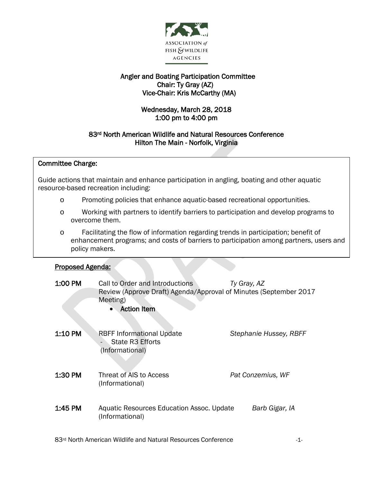

# Angler and Boating Participation Committee Chair: Ty Gray (AZ) Vice-Chair: Kris McCarthy (MA)

# Wednesday, March 28, 2018 1:00 pm to 4:00 pm

# 83rd North American Wildlife and Natural Resources Conference Hilton The Main - Norfolk, Virginia

### $\overline{\phantom{a}}$ Committee Charge:

 Guide actions that maintain and enhance participation in angling, boating and other aquatic ้ resource-based recreation including:

- o Promoting policies that enhance aquatic-based recreational opportunities.
- o Working with partners to identify barriers to participation and develop programs to overcome them.
- o Facilitating the flow of information regarding trends in participation; benefit of enhancement programs; and costs of barriers to participation among partners, users and policy makers.

#### I Proposed Agenda:

| 1:00 PM | Call to Order and Introductions<br>Review (Approve Draft) Agenda/Approval of Minutes (September 2017<br>Meeting)<br><b>Action</b> Item<br>$\bullet$ | Ty Gray, AZ            |
|---------|-----------------------------------------------------------------------------------------------------------------------------------------------------|------------------------|
| 1:10 PM | <b>RBFF Informational Update</b><br>State R3 Efforts<br>(Informational)                                                                             | Stephanie Hussey, RBFF |
| 1:30 PM | Threat of AIS to Access<br>(Informational)                                                                                                          | Pat Conzemius, WF      |
| 1:45 PM | Aquatic Resources Education Assoc. Update<br>(Informational)                                                                                        | Barb Gigar, IA         |

83<sup>rd</sup> North American Wildlife and Natural Resources Conference  $1$ -1-